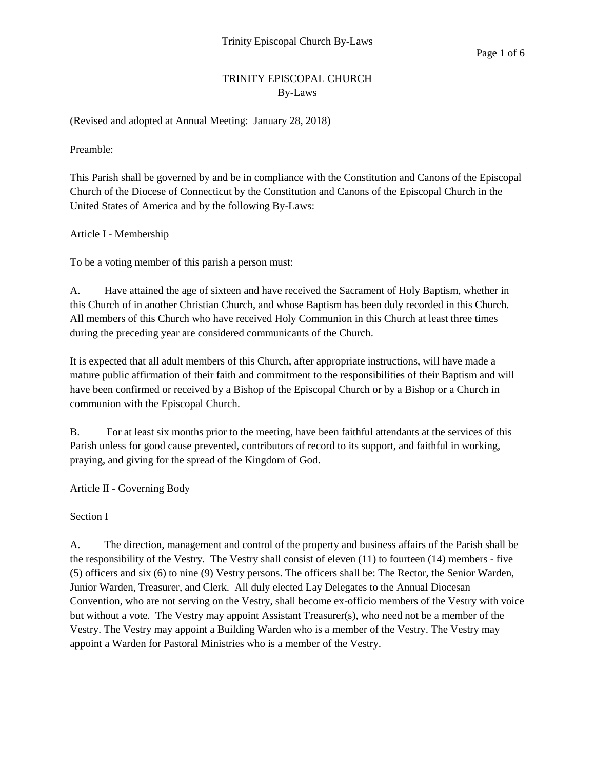# TRINITY EPISCOPAL CHURCH By-Laws

(Revised and adopted at Annual Meeting: January 28, 2018)

Preamble:

This Parish shall be governed by and be in compliance with the Constitution and Canons of the Episcopal Church of the Diocese of Connecticut by the Constitution and Canons of the Episcopal Church in the United States of America and by the following By-Laws:

Article I - Membership

To be a voting member of this parish a person must:

A. Have attained the age of sixteen and have received the Sacrament of Holy Baptism, whether in this Church of in another Christian Church, and whose Baptism has been duly recorded in this Church. All members of this Church who have received Holy Communion in this Church at least three times during the preceding year are considered communicants of the Church.

It is expected that all adult members of this Church, after appropriate instructions, will have made a mature public affirmation of their faith and commitment to the responsibilities of their Baptism and will have been confirmed or received by a Bishop of the Episcopal Church or by a Bishop or a Church in communion with the Episcopal Church.

B. For at least six months prior to the meeting, have been faithful attendants at the services of this Parish unless for good cause prevented, contributors of record to its support, and faithful in working, praying, and giving for the spread of the Kingdom of God.

Article II - Governing Body

Section I

A. The direction, management and control of the property and business affairs of the Parish shall be the responsibility of the Vestry. The Vestry shall consist of eleven (11) to fourteen (14) members - five (5) officers and six (6) to nine (9) Vestry persons. The officers shall be: The Rector, the Senior Warden, Junior Warden, Treasurer, and Clerk. All duly elected Lay Delegates to the Annual Diocesan Convention, who are not serving on the Vestry, shall become ex-officio members of the Vestry with voice but without a vote. The Vestry may appoint Assistant Treasurer(s), who need not be a member of the Vestry. The Vestry may appoint a Building Warden who is a member of the Vestry. The Vestry may appoint a Warden for Pastoral Ministries who is a member of the Vestry.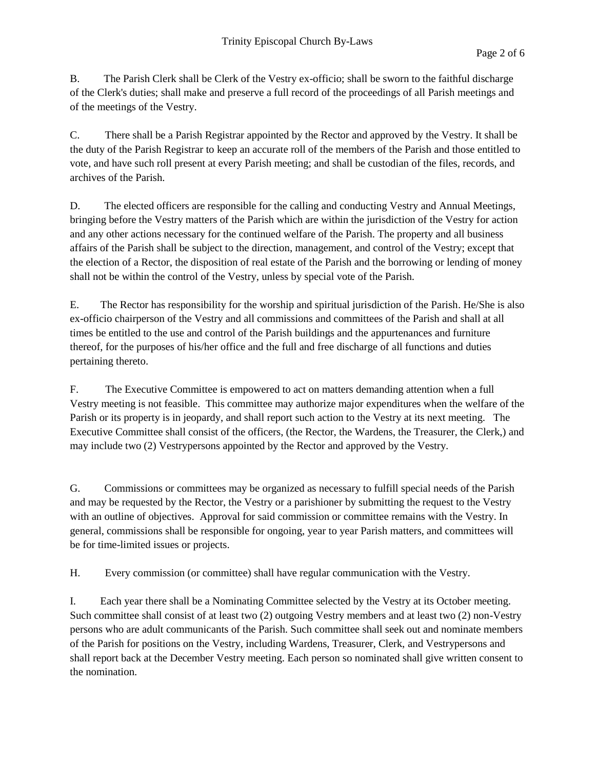B. The Parish Clerk shall be Clerk of the Vestry ex-officio; shall be sworn to the faithful discharge of the Clerk's duties; shall make and preserve a full record of the proceedings of all Parish meetings and of the meetings of the Vestry.

C. There shall be a Parish Registrar appointed by the Rector and approved by the Vestry. It shall be the duty of the Parish Registrar to keep an accurate roll of the members of the Parish and those entitled to vote, and have such roll present at every Parish meeting; and shall be custodian of the files, records, and archives of the Parish.

D. The elected officers are responsible for the calling and conducting Vestry and Annual Meetings, bringing before the Vestry matters of the Parish which are within the jurisdiction of the Vestry for action and any other actions necessary for the continued welfare of the Parish. The property and all business affairs of the Parish shall be subject to the direction, management, and control of the Vestry; except that the election of a Rector, the disposition of real estate of the Parish and the borrowing or lending of money shall not be within the control of the Vestry, unless by special vote of the Parish.

E. The Rector has responsibility for the worship and spiritual jurisdiction of the Parish. He/She is also ex-officio chairperson of the Vestry and all commissions and committees of the Parish and shall at all times be entitled to the use and control of the Parish buildings and the appurtenances and furniture thereof, for the purposes of his/her office and the full and free discharge of all functions and duties pertaining thereto.

F. The Executive Committee is empowered to act on matters demanding attention when a full Vestry meeting is not feasible. This committee may authorize major expenditures when the welfare of the Parish or its property is in jeopardy, and shall report such action to the Vestry at its next meeting. The Executive Committee shall consist of the officers, (the Rector, the Wardens, the Treasurer, the Clerk,) and may include two (2) Vestrypersons appointed by the Rector and approved by the Vestry.

G. Commissions or committees may be organized as necessary to fulfill special needs of the Parish and may be requested by the Rector, the Vestry or a parishioner by submitting the request to the Vestry with an outline of objectives. Approval for said commission or committee remains with the Vestry. In general, commissions shall be responsible for ongoing, year to year Parish matters, and committees will be for time-limited issues or projects.

H. Every commission (or committee) shall have regular communication with the Vestry.

I. Each year there shall be a Nominating Committee selected by the Vestry at its October meeting. Such committee shall consist of at least two (2) outgoing Vestry members and at least two (2) non-Vestry persons who are adult communicants of the Parish. Such committee shall seek out and nominate members of the Parish for positions on the Vestry, including Wardens, Treasurer, Clerk, and Vestrypersons and shall report back at the December Vestry meeting. Each person so nominated shall give written consent to the nomination.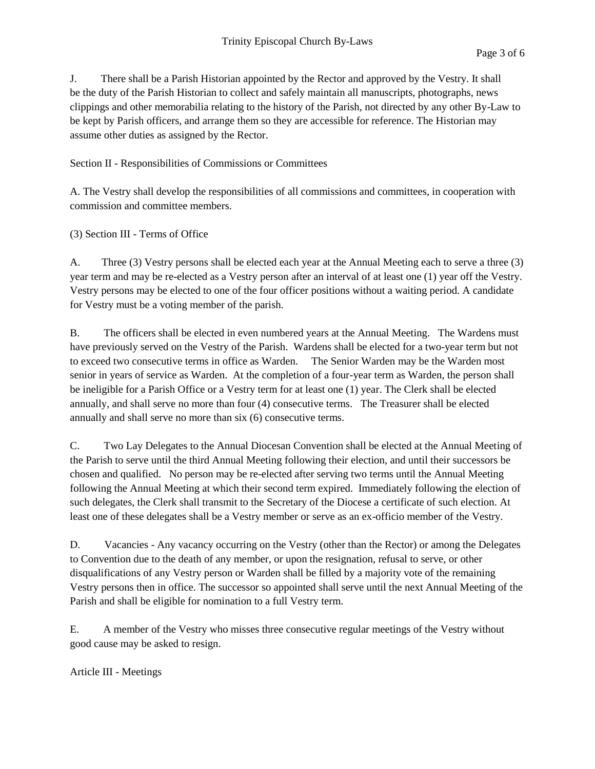J. There shall be a Parish Historian appointed by the Rector and approved by the Vestry. It shall be the duty of the Parish Historian to collect and safely maintain all manuscripts, photographs, news clippings and other memorabilia relating to the history of the Parish, not directed by any other By-Law to be kept by Parish officers, and arrange them so they are accessible for reference. The Historian may assume other duties as assigned by the Rector.

## Section II - Responsibilities of Commissions or Committees

A. The Vestry shall develop the responsibilities of all commissions and committees, in cooperation with commission and committee members.

#### (3) Section III - Terms of Office

A. Three (3) Vestry persons shall be elected each year at the Annual Meeting each to serve a three (3) year term and may be re-elected as a Vestry person after an interval of at least one (1) year off the Vestry. Vestry persons may be elected to one of the four officer positions without a waiting period. A candidate for Vestry must be a voting member of the parish.

B. The officers shall be elected in even numbered years at the Annual Meeting. The Wardens must have previously served on the Vestry of the Parish. Wardens shall be elected for a two-year term but not to exceed two consecutive terms in office as Warden. The Senior Warden may be the Warden most senior in years of service as Warden. At the completion of a four-year term as Warden, the person shall be ineligible for a Parish Office or a Vestry term for at least one (1) year. The Clerk shall be elected annually, and shall serve no more than four (4) consecutive terms. The Treasurer shall be elected annually and shall serve no more than six (6) consecutive terms.

C. Two Lay Delegates to the Annual Diocesan Convention shall be elected at the Annual Meeting of the Parish to serve until the third Annual Meeting following their election, and until their successors be chosen and qualified. No person may be re-elected after serving two terms until the Annual Meeting following the Annual Meeting at which their second term expired. Immediately following the election of such delegates, the Clerk shall transmit to the Secretary of the Diocese a certificate of such election. At least one of these delegates shall be a Vestry member or serve as an ex-officio member of the Vestry.

D. Vacancies - Any vacancy occurring on the Vestry (other than the Rector) or among the Delegates to Convention due to the death of any member, or upon the resignation, refusal to serve, or other disqualifications of any Vestry person or Warden shall be filled by a majority vote of the remaining Vestry persons then in office. The successor so appointed shall serve until the next Annual Meeting of the Parish and shall be eligible for nomination to a full Vestry term.

E. A member of the Vestry who misses three consecutive regular meetings of the Vestry without good cause may be asked to resign.

Article III - Meetings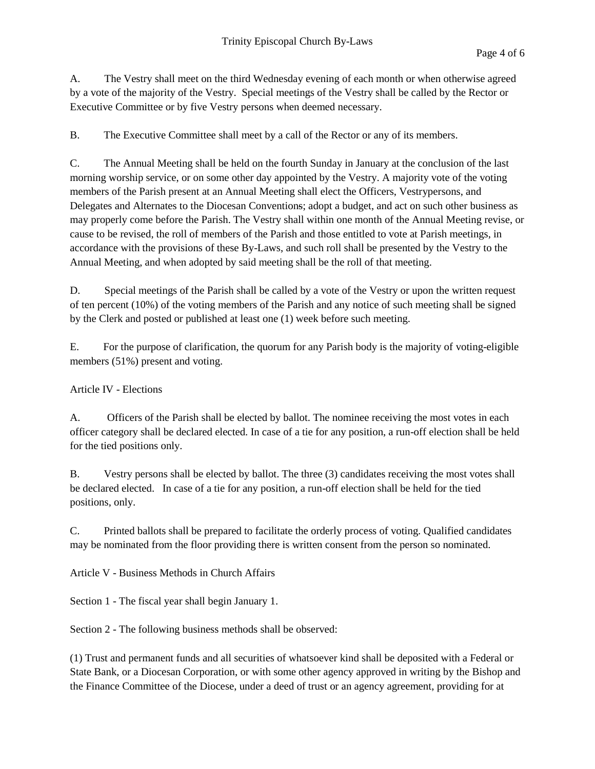A. The Vestry shall meet on the third Wednesday evening of each month or when otherwise agreed by a vote of the majority of the Vestry. Special meetings of the Vestry shall be called by the Rector or Executive Committee or by five Vestry persons when deemed necessary.

B. The Executive Committee shall meet by a call of the Rector or any of its members.

C. The Annual Meeting shall be held on the fourth Sunday in January at the conclusion of the last morning worship service, or on some other day appointed by the Vestry. A majority vote of the voting members of the Parish present at an Annual Meeting shall elect the Officers, Vestrypersons, and Delegates and Alternates to the Diocesan Conventions; adopt a budget, and act on such other business as may properly come before the Parish. The Vestry shall within one month of the Annual Meeting revise, or cause to be revised, the roll of members of the Parish and those entitled to vote at Parish meetings, in accordance with the provisions of these By-Laws, and such roll shall be presented by the Vestry to the Annual Meeting, and when adopted by said meeting shall be the roll of that meeting.

D. Special meetings of the Parish shall be called by a vote of the Vestry or upon the written request of ten percent (10%) of the voting members of the Parish and any notice of such meeting shall be signed by the Clerk and posted or published at least one (1) week before such meeting.

E. For the purpose of clarification, the quorum for any Parish body is the majority of voting-eligible members (51%) present and voting.

# Article IV - Elections

A. Officers of the Parish shall be elected by ballot. The nominee receiving the most votes in each officer category shall be declared elected. In case of a tie for any position, a run-off election shall be held for the tied positions only.

B. Vestry persons shall be elected by ballot. The three (3) candidates receiving the most votes shall be declared elected. In case of a tie for any position, a run-off election shall be held for the tied positions, only.

C. Printed ballots shall be prepared to facilitate the orderly process of voting. Qualified candidates may be nominated from the floor providing there is written consent from the person so nominated.

Article V - Business Methods in Church Affairs

Section 1 - The fiscal year shall begin January 1.

Section 2 - The following business methods shall be observed:

(1) Trust and permanent funds and all securities of whatsoever kind shall be deposited with a Federal or State Bank, or a Diocesan Corporation, or with some other agency approved in writing by the Bishop and the Finance Committee of the Diocese, under a deed of trust or an agency agreement, providing for at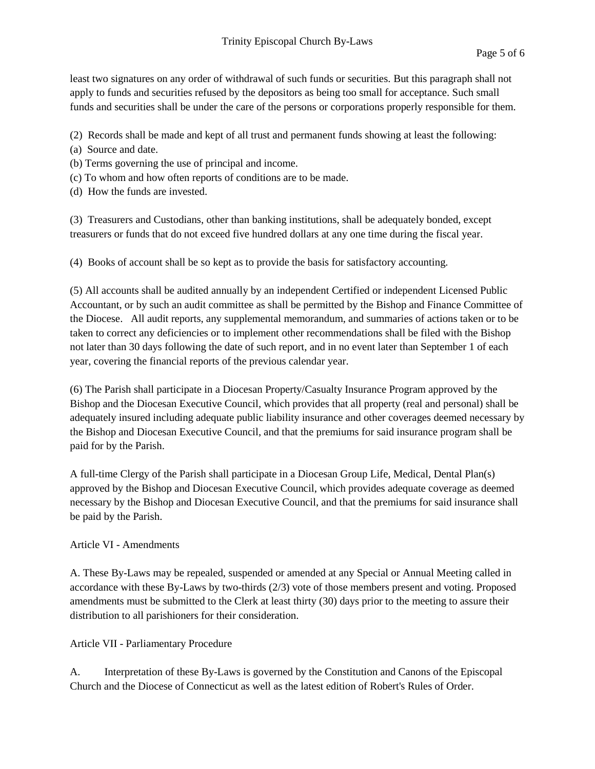least two signatures on any order of withdrawal of such funds or securities. But this paragraph shall not apply to funds and securities refused by the depositors as being too small for acceptance. Such small funds and securities shall be under the care of the persons or corporations properly responsible for them.

(2) Records shall be made and kept of all trust and permanent funds showing at least the following:

- (a) Source and date.
- (b) Terms governing the use of principal and income.
- (c) To whom and how often reports of conditions are to be made.
- (d) How the funds are invested.

(3) Treasurers and Custodians, other than banking institutions, shall be adequately bonded, except treasurers or funds that do not exceed five hundred dollars at any one time during the fiscal year.

(4) Books of account shall be so kept as to provide the basis for satisfactory accounting.

(5) All accounts shall be audited annually by an independent Certified or independent Licensed Public Accountant, or by such an audit committee as shall be permitted by the Bishop and Finance Committee of the Diocese. All audit reports, any supplemental memorandum, and summaries of actions taken or to be taken to correct any deficiencies or to implement other recommendations shall be filed with the Bishop not later than 30 days following the date of such report, and in no event later than September 1 of each year, covering the financial reports of the previous calendar year.

(6) The Parish shall participate in a Diocesan Property/Casualty Insurance Program approved by the Bishop and the Diocesan Executive Council, which provides that all property (real and personal) shall be adequately insured including adequate public liability insurance and other coverages deemed necessary by the Bishop and Diocesan Executive Council, and that the premiums for said insurance program shall be paid for by the Parish.

A full-time Clergy of the Parish shall participate in a Diocesan Group Life, Medical, Dental Plan(s) approved by the Bishop and Diocesan Executive Council, which provides adequate coverage as deemed necessary by the Bishop and Diocesan Executive Council, and that the premiums for said insurance shall be paid by the Parish.

#### Article VI - Amendments

A. These By-Laws may be repealed, suspended or amended at any Special or Annual Meeting called in accordance with these By-Laws by two-thirds (2/3) vote of those members present and voting. Proposed amendments must be submitted to the Clerk at least thirty (30) days prior to the meeting to assure their distribution to all parishioners for their consideration.

# Article VII - Parliamentary Procedure

A. Interpretation of these By-Laws is governed by the Constitution and Canons of the Episcopal Church and the Diocese of Connecticut as well as the latest edition of Robert's Rules of Order.